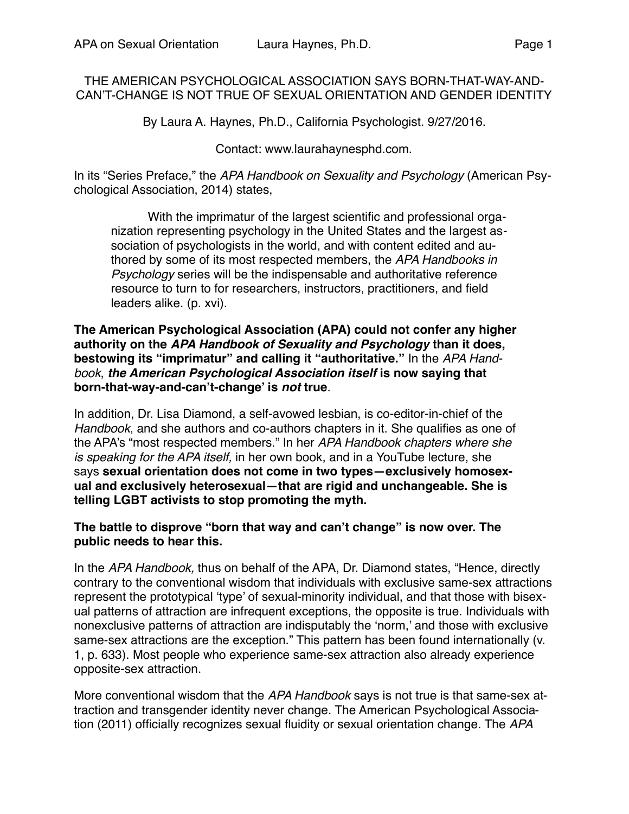# THE AMERICAN PSYCHOLOGICAL ASSOCIATION SAYS BORN-THAT-WAY-AND-CAN'T-CHANGE IS NOT TRUE OF SEXUAL ORIENTATION AND GENDER IDENTITY

By Laura A. Haynes, Ph.D., California Psychologist. 9/27/2016.

## Contact: www.laurahaynesphd.com.

In its "Series Preface," the *APA Handbook on Sexuality and Psychology* (American Psychological Association, 2014) states,

With the imprimatur of the largest scientific and professional organization representing psychology in the United States and the largest association of psychologists in the world, and with content edited and authored by some of its most respected members, the *APA Handbooks in Psychology* series will be the indispensable and authoritative reference resource to turn to for researchers, instructors, practitioners, and field leaders alike. (p. xvi).

#### **The American Psychological Association (APA) could not confer any higher authority on the** *APA Handbook of Sexuality and Psychology* **than it does, bestowing its "imprimatur" and calling it "authoritative."** In the *APA Handbook*, *the American Psychological Association itself* **is now saying that born-that-way-and-can't-change' is** *not* **true**.

In addition, Dr. Lisa Diamond, a self-avowed lesbian, is co-editor-in-chief of the *Handbook*, and she authors and co-authors chapters in it. She qualifies as one of the APA's "most respected members." In her *APA Handbook chapters where she is speaking for the APA itself,* in her own book, and in a YouTube lecture, she says **sexual orientation does not come in two types—exclusively homosexual and exclusively heterosexual—that are rigid and unchangeable. She is telling LGBT activists to stop promoting the myth.**

## **The battle to disprove "born that way and can't change" is now over. The public needs to hear this.**

In the *APA Handbook,* thus on behalf of the APA, Dr. Diamond states, "Hence, directly contrary to the conventional wisdom that individuals with exclusive same-sex attractions represent the prototypical 'type' of sexual-minority individual, and that those with bisexual patterns of attraction are infrequent exceptions, the opposite is true. Individuals with nonexclusive patterns of attraction are indisputably the 'norm,' and those with exclusive same-sex attractions are the exception." This pattern has been found internationally (v. 1, p. 633). Most people who experience same-sex attraction also already experience opposite-sex attraction.

More conventional wisdom that the *APA Handbook* says is not true is that same-sex attraction and transgender identity never change. The American Psychological Association (2011) officially recognizes sexual fluidity or sexual orientation change. The *APA*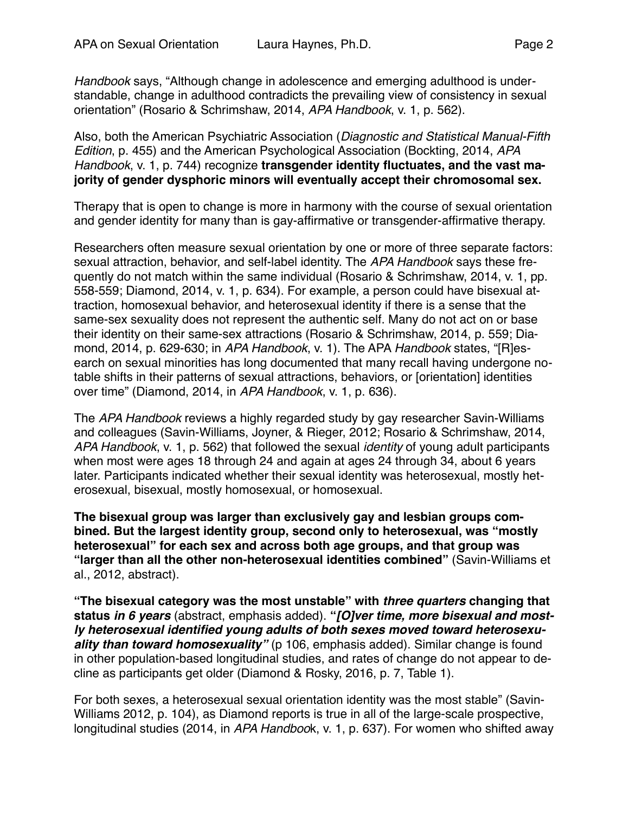*Handbook* says, "Although change in adolescence and emerging adulthood is understandable, change in adulthood contradicts the prevailing view of consistency in sexual orientation" (Rosario & Schrimshaw, 2014, *APA Handbook*, v. 1, p. 562).

Also, both the American Psychiatric Association (*Diagnostic and Statistical Manual-Fifth Edition*, p. 455) and the American Psychological Association (Bockting, 2014, *APA Handbook*, v. 1, p. 744) recognize **transgender identity fluctuates, and the vast majority of gender dysphoric minors will eventually accept their chromosomal sex.**

Therapy that is open to change is more in harmony with the course of sexual orientation and gender identity for many than is gay-affirmative or transgender-affirmative therapy.

Researchers often measure sexual orientation by one or more of three separate factors: sexual attraction, behavior, and self-label identity. The *APA Handbook* says these frequently do not match within the same individual (Rosario & Schrimshaw, 2014, v. 1, pp. 558-559; Diamond, 2014, v. 1, p. 634). For example, a person could have bisexual attraction, homosexual behavior, and heterosexual identity if there is a sense that the same-sex sexuality does not represent the authentic self. Many do not act on or base their identity on their same-sex attractions (Rosario & Schrimshaw, 2014, p. 559; Diamond, 2014, p. 629-630; in *APA Handbook*, v. 1). The APA *Handbook* states, "[R]esearch on sexual minorities has long documented that many recall having undergone notable shifts in their patterns of sexual attractions, behaviors, or [orientation] identities over time" (Diamond, 2014, in *APA Handbook*, v. 1, p. 636).

The *APA Handbook* reviews a highly regarded study by gay researcher Savin-Williams and colleagues (Savin-Williams, Joyner, & Rieger, 2012; Rosario & Schrimshaw, 2014, *APA Handbook*, v. 1, p. 562) that followed the sexual *identity* of young adult participants when most were ages 18 through 24 and again at ages 24 through 34, about 6 years later. Participants indicated whether their sexual identity was heterosexual, mostly heterosexual, bisexual, mostly homosexual, or homosexual.

**The bisexual group was larger than exclusively gay and lesbian groups combined. But the largest identity group, second only to heterosexual, was "mostly heterosexual" for each sex and across both age groups, and that group was "larger than all the other non-heterosexual identities combined"** (Savin-Williams et al., 2012, abstract).

**"The bisexual category was the most unstable" with** *three quarters* **changing that status** *in 6 years* (abstract, emphasis added). **"***[O]ver time, more bisexual and mostly heterosexual identified young adults of both sexes moved toward heterosexu*ality than toward homosexuality" (p 106, emphasis added). Similar change is found in other population-based longitudinal studies, and rates of change do not appear to decline as participants get older (Diamond & Rosky, 2016, p. 7, Table 1).

For both sexes, a heterosexual sexual orientation identity was the most stable" (Savin-Williams 2012, p. 104), as Diamond reports is true in all of the large-scale prospective, longitudinal studies (2014, in *APA Handboo*k, v. 1, p. 637). For women who shifted away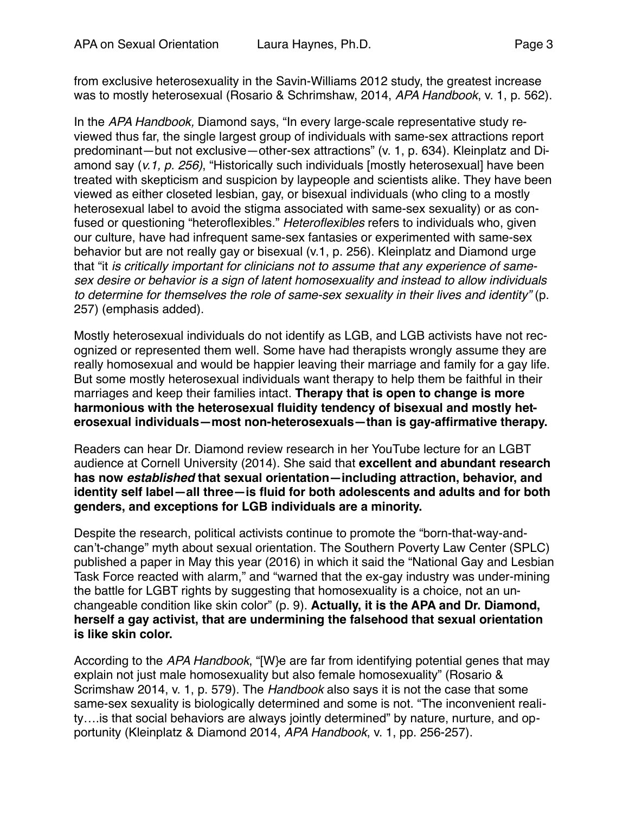from exclusive heterosexuality in the Savin-Williams 2012 study, the greatest increase was to mostly heterosexual (Rosario & Schrimshaw, 2014, *APA Handbook*, v. 1, p. 562).

In the *APA Handbook,* Diamond says, "In every large-scale representative study reviewed thus far, the single largest group of individuals with same-sex attractions report predominant—but not exclusive—other-sex attractions" (v. 1, p. 634). Kleinplatz and Diamond say (*v.1, p. 256)*, "Historically such individuals [mostly heterosexual] have been treated with skepticism and suspicion by laypeople and scientists alike. They have been viewed as either closeted lesbian, gay, or bisexual individuals (who cling to a mostly heterosexual label to avoid the stigma associated with same-sex sexuality) or as confused or questioning "heteroflexibles." *Heteroflexibles* refers to individuals who, given our culture, have had infrequent same-sex fantasies or experimented with same-sex behavior but are not really gay or bisexual (v.1, p. 256). Kleinplatz and Diamond urge that "it *is critically important for clinicians not to assume that any experience of samesex desire or behavior is a sign of latent homosexuality and instead to allow individuals to determine for themselves the role of same-sex sexuality in their lives and identity"* (p. 257) (emphasis added).

Mostly heterosexual individuals do not identify as LGB, and LGB activists have not recognized or represented them well. Some have had therapists wrongly assume they are really homosexual and would be happier leaving their marriage and family for a gay life. But some mostly heterosexual individuals want therapy to help them be faithful in their marriages and keep their families intact. **Therapy that is open to change is more harmonious with the heterosexual fluidity tendency of bisexual and mostly heterosexual individuals—most non-heterosexuals—than is gay-affirmative therapy.**

Readers can hear Dr. Diamond review research in her YouTube lecture for an LGBT audience at Cornell University (2014). She said that **excellent and abundant research has now** *established* **that sexual orientation—including attraction, behavior, and identity self label—all three—is fluid for both adolescents and adults and for both genders, and exceptions for LGB individuals are a minority.**

Despite the research, political activists continue to promote the "born-that-way-andcan't-change" myth about sexual orientation. The Southern Poverty Law Center (SPLC) published a paper in May this year (2016) in which it said the "National Gay and Lesbian Task Force reacted with alarm," and "warned that the ex-gay industry was under-mining the battle for LGBT rights by suggesting that homosexuality is a choice, not an unchangeable condition like skin color" (p. 9). **Actually, it is the APA and Dr. Diamond, herself a gay activist, that are undermining the falsehood that sexual orientation is like skin color.**

According to the *APA Handbook*, "[W}e are far from identifying potential genes that may explain not just male homosexuality but also female homosexuality" (Rosario & Scrimshaw 2014, v. 1, p. 579). The *Handbook* also says it is not the case that some same-sex sexuality is biologically determined and some is not. "The inconvenient reality….is that social behaviors are always jointly determined" by nature, nurture, and opportunity (Kleinplatz & Diamond 2014, *APA Handbook*, v. 1, pp. 256-257).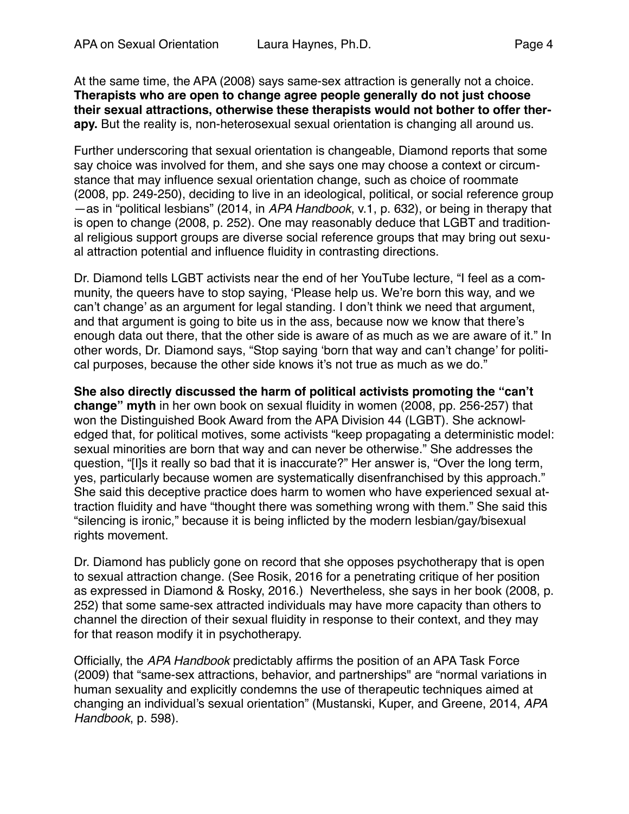At the same time, the APA (2008) says same-sex attraction is generally not a choice. **Therapists who are open to change agree people generally do not just choose their sexual attractions, otherwise these therapists would not bother to offer therapy.** But the reality is, non-heterosexual sexual orientation is changing all around us.

Further underscoring that sexual orientation is changeable, Diamond reports that some say choice was involved for them, and she says one may choose a context or circumstance that may influence sexual orientation change, such as choice of roommate (2008, pp. 249-250), deciding to live in an ideological, political, or social reference group —as in "political lesbians" (2014, in *APA Handbook*, v.1, p. 632), or being in therapy that is open to change (2008, p. 252). One may reasonably deduce that LGBT and traditional religious support groups are diverse social reference groups that may bring out sexual attraction potential and influence fluidity in contrasting directions.

Dr. Diamond tells LGBT activists near the end of her YouTube lecture, "I feel as a community, the queers have to stop saying, 'Please help us. We're born this way, and we can't change' as an argument for legal standing. I don't think we need that argument, and that argument is going to bite us in the ass, because now we know that there's enough data out there, that the other side is aware of as much as we are aware of it." In other words, Dr. Diamond says, "Stop saying 'born that way and can't change' for political purposes, because the other side knows it's not true as much as we do."

**She also directly discussed the harm of political activists promoting the "can't change" myth** in her own book on sexual fluidity in women (2008, pp. 256-257) that won the Distinguished Book Award from the APA Division 44 (LGBT). She acknowledged that, for political motives, some activists "keep propagating a deterministic model: sexual minorities are born that way and can never be otherwise." She addresses the question, "[I]s it really so bad that it is inaccurate?" Her answer is, "Over the long term, yes, particularly because women are systematically disenfranchised by this approach." She said this deceptive practice does harm to women who have experienced sexual attraction fluidity and have "thought there was something wrong with them." She said this "silencing is ironic," because it is being inflicted by the modern lesbian/gay/bisexual rights movement.

Dr. Diamond has publicly gone on record that she opposes psychotherapy that is open to sexual attraction change. (See Rosik, 2016 for a penetrating critique of her position as expressed in Diamond & Rosky, 2016.) Nevertheless, she says in her book (2008, p. 252) that some same-sex attracted individuals may have more capacity than others to channel the direction of their sexual fluidity in response to their context, and they may for that reason modify it in psychotherapy.

Officially, the *APA Handbook* predictably affirms the position of an APA Task Force (2009) that "same-sex attractions, behavior, and partnerships" are "normal variations in human sexuality and explicitly condemns the use of therapeutic techniques aimed at changing an individual's sexual orientation" (Mustanski, Kuper, and Greene, 2014, *APA Handbook*, p. 598).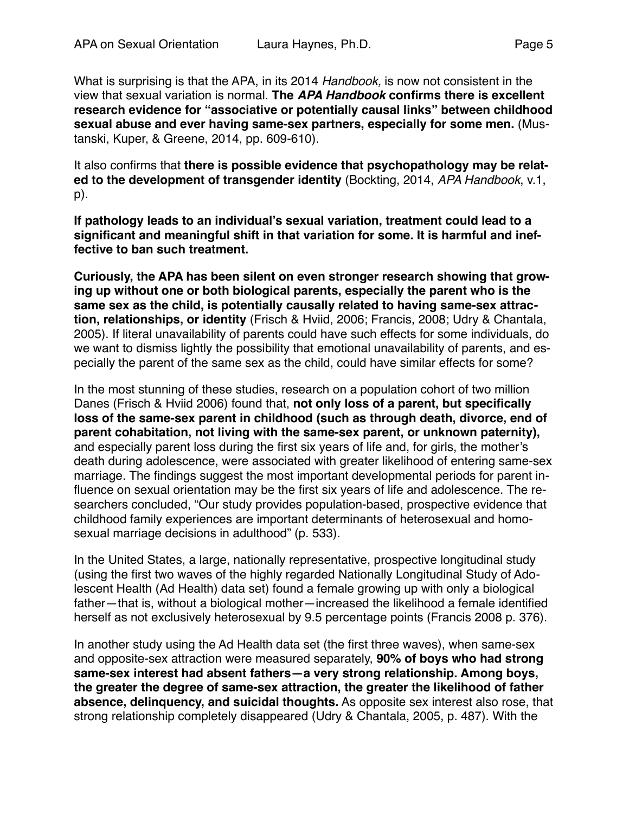What is surprising is that the APA, in its 2014 *Handbook,* is now not consistent in the view that sexual variation is normal. **The** *APA Handbook* **confirms there is excellent research evidence for "associative or potentially causal links" between childhood sexual abuse and ever having same-sex partners, especially for some men.** (Mustanski, Kuper, & Greene, 2014, pp. 609-610).

It also confirms that **there is possible evidence that psychopathology may be related to the development of transgender identity** (Bockting, 2014, *APA Handbook*, v.1, p).

**If pathology leads to an individual's sexual variation, treatment could lead to a significant and meaningful shift in that variation for some. It is harmful and ineffective to ban such treatment.**

**Curiously, the APA has been silent on even stronger research showing that growing up without one or both biological parents, especially the parent who is the same sex as the child, is potentially causally related to having same-sex attraction, relationships, or identity** (Frisch & Hviid, 2006; Francis, 2008; Udry & Chantala, 2005). If literal unavailability of parents could have such effects for some individuals, do we want to dismiss lightly the possibility that emotional unavailability of parents, and especially the parent of the same sex as the child, could have similar effects for some?

In the most stunning of these studies, research on a population cohort of two million Danes (Frisch & Hviid 2006) found that, **not only loss of a parent, but specifically loss of the same-sex parent in childhood (such as through death, divorce, end of parent cohabitation, not living with the same-sex parent, or unknown paternity),** and especially parent loss during the first six years of life and, for girls, the mother's death during adolescence, were associated with greater likelihood of entering same-sex marriage. The findings suggest the most important developmental periods for parent influence on sexual orientation may be the first six years of life and adolescence. The researchers concluded, "Our study provides population-based, prospective evidence that childhood family experiences are important determinants of heterosexual and homosexual marriage decisions in adulthood" (p. 533).

In the United States, a large, nationally representative, prospective longitudinal study (using the first two waves of the highly regarded Nationally Longitudinal Study of Adolescent Health (Ad Health) data set) found a female growing up with only a biological father—that is, without a biological mother—increased the likelihood a female identified herself as not exclusively heterosexual by 9.5 percentage points (Francis 2008 p. 376).

In another study using the Ad Health data set (the first three waves), when same-sex and opposite-sex attraction were measured separately, **90% of boys who had strong same-sex interest had absent fathers—a very strong relationship. Among boys, the greater the degree of same-sex attraction, the greater the likelihood of father absence, delinquency, and suicidal thoughts.** As opposite sex interest also rose, that strong relationship completely disappeared (Udry & Chantala, 2005, p. 487). With the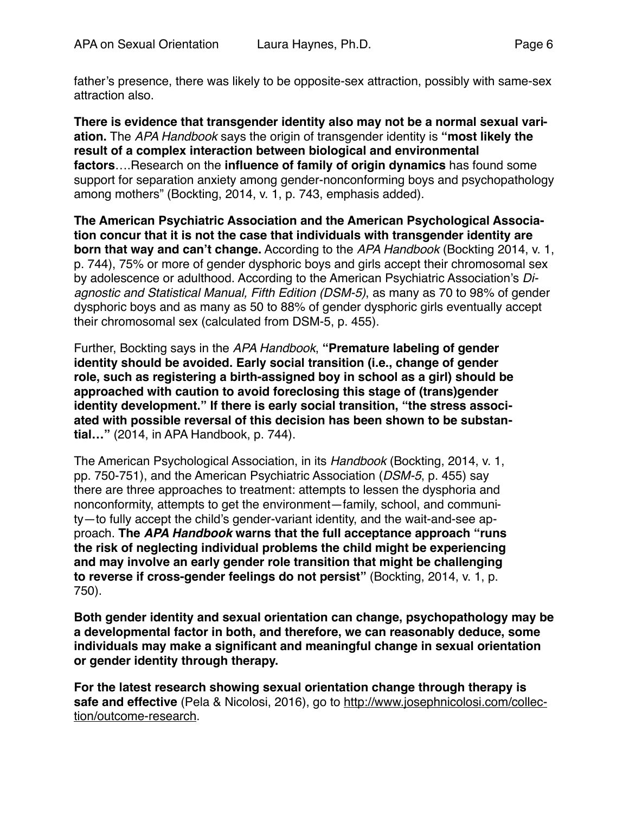father's presence, there was likely to be opposite-sex attraction, possibly with same-sex attraction also.

**There is evidence that transgender identity also may not be a normal sexual variation.** The *APA Handbook* says the origin of transgender identity is **"most likely the result of a complex interaction between biological and environmental factors**….Research on the **influence of family of origin dynamics** has found some support for separation anxiety among gender-nonconforming boys and psychopathology among mothers" (Bockting, 2014, v. 1, p. 743, emphasis added).

**The American Psychiatric Association and the American Psychological Association concur that it is not the case that individuals with transgender identity are born that way and can't change.** According to the *APA Handbook* (Bockting 2014, v. 1, p. 744), 75% or more of gender dysphoric boys and girls accept their chromosomal sex by adolescence or adulthood. According to the American Psychiatric Association's *Diagnostic and Statistical Manual, Fifth Edition (DSM-5)*, as many as 70 to 98% of gender dysphoric boys and as many as 50 to 88% of gender dysphoric girls eventually accept their chromosomal sex (calculated from DSM-5, p. 455).

Further, Bockting says in the *APA Handbook*, **"Premature labeling of gender identity should be avoided. Early social transition (i.e., change of gender role, such as registering a birth-assigned boy in school as a girl) should be approached with caution to avoid foreclosing this stage of (trans)gender identity development." If there is early social transition, "the stress associated with possible reversal of this decision has been shown to be substantial…"** (2014, in APA Handbook, p. 744).

The American Psychological Association, in its *Handbook* (Bockting, 2014, v. 1, pp. 750-751), and the American Psychiatric Association (*DSM-5*, p. 455) say there are three approaches to treatment: attempts to lessen the dysphoria and nonconformity, attempts to get the environment—family, school, and community—to fully accept the child's gender-variant identity, and the wait-and-see approach. **The** *APA Handbook* **warns that the full acceptance approach "runs the risk of neglecting individual problems the child might be experiencing and may involve an early gender role transition that might be challenging to reverse if cross-gender feelings do not persist"** (Bockting, 2014, v. 1, p. 750).

**Both gender identity and sexual orientation can change, psychopathology may be a developmental factor in both, and therefore, we can reasonably deduce, some individuals may make a significant and meaningful change in sexual orientation or gender identity through therapy.** 

**For the latest research showing sexual orientation change through therapy is safe and effective** [\(Pela & Nicolosi, 2016\), go to http://www.josephnicolosi.com/collec](http://www.josephnicolosi.com/collection/outcome-research)tion/outcome-research.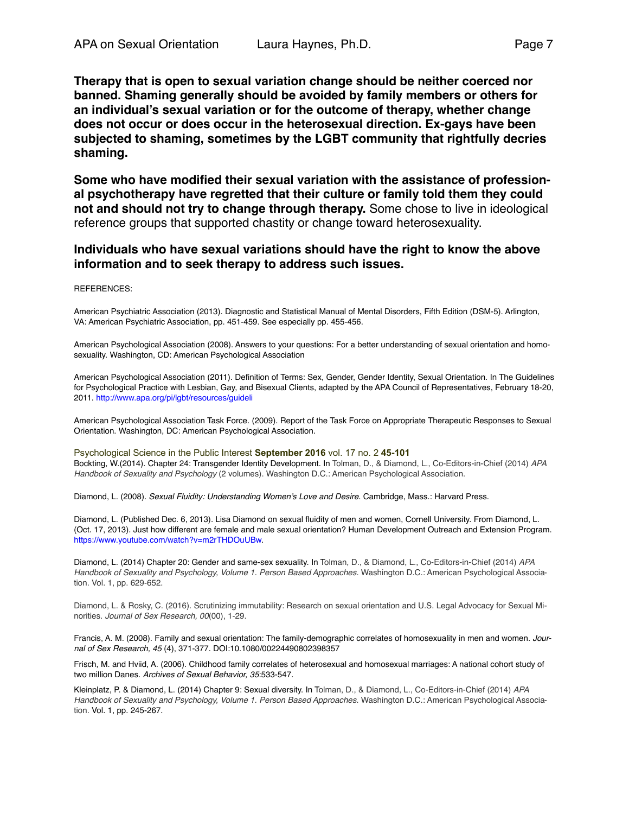**Therapy that is open to sexual variation change should be neither coerced nor banned. Shaming generally should be avoided by family members or others for an individual's sexual variation or for the outcome of therapy, whether change does not occur or does occur in the heterosexual direction. Ex-gays have been subjected to shaming, sometimes by the LGBT community that rightfully decries shaming.**

**Some who have modified their sexual variation with the assistance of professional psychotherapy have regretted that their culture or family told them they could not and should not try to change through therapy.** Some chose to live in ideological reference groups that supported chastity or change toward heterosexuality.

#### **Individuals who have sexual variations should have the right to know the above information and to seek therapy to address such issues.**

#### REFERENCES:

American Psychiatric Association (2013). Diagnostic and Statistical Manual of Mental Disorders, Fifth Edition (DSM-5). Arlington, VA: American Psychiatric Association, pp. 451-459. See especially pp. 455-456.

American Psychological Association (2008). Answers to your questions: For a better understanding of sexual orientation and homosexuality. Washington, CD: American Psychological Association

American Psychological Association (2011). Definition of Terms: Sex, Gender, Gender Identity, Sexual Orientation. In The Guidelines for Psychological Practice with Lesbian, Gay, and Bisexual Clients, adapted by the APA Council of Representatives, February 18-20, 2011. <http://www.apa.org/pi/lgbt/resources/guideli>

American Psychological Association Task Force. (2009). Report of the Task Force on Appropriate Therapeutic Responses to Sexual Orientation. Washington, DC: American Psychological Association.

Psychological Science in the Public Interest **September 2016** vol. 17 no. 2 **45-101** Bockting, W.(2014). Chapter 24: Transgender Identity Development. In Tolman, D., & Diamond, L., Co-Editors-in-Chief (2014) *APA Handbook of Sexuality and Psychology* (2 volumes). Washington D.C.: American Psychological Association.

Diamond, L. (2008). *Sexual Fluidity: Understanding Women's Love and Desire*. Cambridge, Mass.: Harvard Press.

Diamond, L. (Published Dec. 6, 2013). Lisa Diamond on sexual fluidity of men and women, Cornell University. From Diamond, L. (Oct. 17, 2013). Just how different are female and male sexual orientation? Human Development Outreach and Extension Program. [https://www.youtube.com/watch?v=m2rTHDOuUBw.](https://www.youtube.com/watch?v=m2rTHDOuUBw)

Diamond, L. (2014) Chapter 20: Gender and same-sex sexuality. In Tolman, D., & Diamond, L., Co-Editors-in-Chief (2014) *APA Handbook of Sexuality and Psychology, Volume 1. Person Based Approaches.* Washington D.C.: American Psychological Association. Vol. 1, pp. 629-652.

Diamond, L. & Rosky, C. (2016). Scrutinizing immutability: Research on sexual orientation and U.S. Legal Advocacy for Sexual Minorities. *Journal of Sex Research, 00*(00), 1-29.

Francis, A. M. (2008). Family and sexual orientation: The family-demographic correlates of homosexuality in men and women. *Journal of Sex Research, 45* (4), 371-377. DOI:10.1080/00224490802398357

Frisch, M. and Hviid, A. (2006). Childhood family correlates of heterosexual and homosexual marriages: A national cohort study of two million Danes. *Archives of Sexual Behavior, 35*:533-547.

Kleinplatz, P. & Diamond, L. (2014) Chapter 9: Sexual diversity. In Tolman, D., & Diamond, L., Co-Editors-in-Chief (2014) *APA Handbook of Sexuality and Psychology, Volume 1. Person Based Approaches.* Washington D.C.: American Psychological Association. Vol. 1, pp. 245-267.